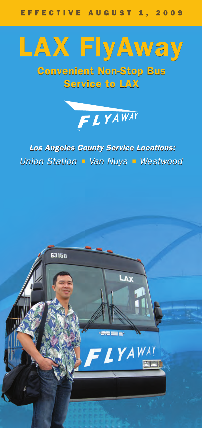

Convenient Non-Stop Bus Service to LAX



# *Los Angeles County Service Locations: Los Angeles County Service Locations: Union Station Van Nuys Westwood Union Station Van Nuys Westwood*

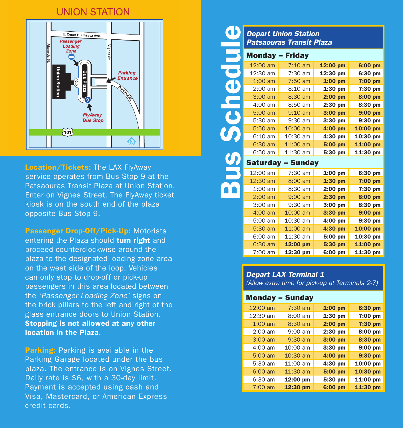# **UNION STATION**



Location/Tickets: The LAX FlyAway service operates from Bus Stop 9 at the Patsaouras Transit Plaza at Union Station. Enter on Vignes Street. The FlyAway ticket kiosk is on the south end of the plaza opposite Bus Stop 9.

Passenger Drop-Off/Pick-Up: Motorists entering the Plaza should turn right and proceed counterclockwise around the plaza to the designated loading zone area on the west side of the loop. Vehicles can only stop to drop-off or pick-up passengers in this area located between the *'Passenger Loading Zone'* signs on the brick pillars to the left and right of the glass entrance doors to Union Station. Stopping is not allowed at any other location in the Plaza.

**Parking:** Parking is available in the Parking Garage located under the bus plaza. The entrance is on Vignes Street. Daily rate is \$6, with a 30-day limit. Payment is accepted using cash and Visa, Mastercard, or American Express credit cards.

### *Depart Union Station Patsaouras Transit Plaza*

|                      |                          | <b>Depart Union Station</b>     |           |            |
|----------------------|--------------------------|---------------------------------|-----------|------------|
|                      |                          | <b>Patsaouras Transit Plaza</b> |           |            |
|                      | <b>Monday - Friday</b>   |                                 |           |            |
|                      | $12:00$ am               | $7:10$ am                       | 12:00 pm  | 6:00 pm    |
|                      | 12:30 am                 | 7:30 am                         | 12:30 pm  | 6:30 pm    |
|                      | $1:00$ am                | $7:50$ am                       | $1:00$ pm | $7:00$ pm  |
|                      | $2:00$ am                | 8:10 am                         | $1:30$ pm | 7:30 pm    |
| $\frac{1}{\sqrt{2}}$ | $3:00$ am                | 8:30 am                         | $2:00$ pm | 8:00 pm    |
|                      | 4:00 am                  | 8:50 am                         | $2:30$ pm | 8:30 pm    |
| $\mathbf{c}$         | 5:00 am                  | $9:10$ am                       | $3:00$ pm | 9:00 pm    |
|                      | 5:30 am                  | 9:30 am                         | $3:30$ pm | 9:30 pm    |
|                      | 5:50 am                  | 10:00 am                        | $4:00$ pm | 10:00 pm   |
|                      | 6:10 am                  | 10:30 am                        | $4:30$ pm | 10:30 pm   |
|                      | 6:30 am                  | 11:00 am                        | 5:00 pm   | 11:00 pm   |
|                      | 6:50 am                  | 11:30 am                        | 5:30 pm   | 11:30 pm   |
|                      | <b>Saturday - Sunday</b> |                                 |           |            |
|                      | 12:00 am                 | $7:30$ am                       | $1:00$ pm | 6:30 pm    |
|                      | 12:30 am                 | 8:00 am                         | $1:30$ pm | $7:00$ pm  |
|                      | $1:00$ am                | 8:30 am                         | $2:00$ pm | 7:30 pm    |
|                      | $2:00$ am                | $9:00$ am                       | $2:30$ pm | 8:00 pm    |
|                      | $3:00$ am                | $9:30$ am                       | $3:00$ pm | 8:30 pm    |
|                      | $4:00$ am                | 10:00 am                        | 3:30 pm   | $9:00$ pm  |
|                      | 5:00 am                  | 10:30 am                        | $4:00$ pm | 9:30 pm    |
|                      | 5:30 am                  | $11:00$ am                      | 4:30 pm   | 10:00 pm   |
|                      | 6:00 am                  | 11:30 am                        | 5:00 pm   | $10:30$ pm |
|                      | 6:30 am                  | 12:00 pm                        | 5:30 pm   | 11:00 pm   |
|                      | $7:00$ am                | 12:30 pm                        | 6:00 pm   | $11:30$ pm |

# *Depart LAX Terminal 1*

*(Allow extra time for pick-up at Terminals 2-7)*

#### Monday – Sunday

| 12:00 am  | $7:30$ am | $1:00$ pm | 6:30 pm   |
|-----------|-----------|-----------|-----------|
| 12:30 am  | 8:00 am   | 1:30 pm   | 7:00 pm   |
| $1:00$ am | 8:30 am   | $2:00$ pm | 7:30 pm   |
| $2:00$ am | 9:00 am   | 2:30 pm   | 8:00 pm   |
| $3:00$ am | 9:30 am   | 3:00 pm   | 8:30 pm   |
| $4:00$ am | 10:00 am  | 3:30 pm   | $9:00$ pm |
| $5:00$ am | 10:30 am  | 4:00 pm   | 9:30 pm   |
| 5:30 am   | 11:00 am  | 4:30 pm   | 10:00 pm  |
| $6:00$ am | 11:30 am  | 5:00 pm   | 10:30 pm  |
| 6:30 am   | 12:00 pm  | 5:30 pm   | 11:00 pm  |
| $7:00$ am | 12:30 pm  | 6:00 pm   | 11:30 pm  |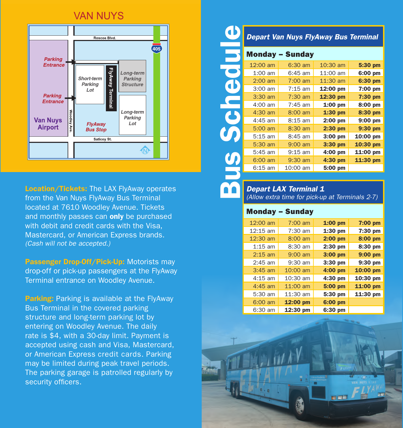# **VAN NUYS**



Location/Tickets: The LAX FlyAway operates from the Van Nuys FlyAway Bus Terminal located at 7610 Woodley Avenue. Tickets and monthly passes can **only** be purchased with debit and credit cards with the Visa, Mastercard, or American Express brands. *(Cash will not be accepted.)*

Passenger Drop-Off/Pick-Up: Motorists may drop-off or pick-up passengers at the FlyAway Terminal entrance on Woodley Avenue.

**Parking:** Parking is available at the FlyAway Bus Terminal in the covered parking structure and long-term parking lot by entering on Woodley Avenue. The daily rate is \$4, with a 30-day limit. Payment is accepted using cash and Visa, Mastercard, or American Express credit cards. Parking may be limited during peak travel periods. The parking garage is patrolled regularly by security officers.

Bus Schedule *Depart Van Nuys FlyAway Bus Terminal* Monday – Sunday chec 12:00 am 6:30 am 10:30 am 5:30 pm 1:00 am 6:45 am 11:00 am 6:00 pm 2:00 am 7:00 am 11:30 am 6:30 pm 3:00 am  $\vert$  7:15 am 12:00 pm 7:00 pm 3:30 am **7:30 am 12:30 pm 7:30 pm** 4:00 am | 7:45 am | 1:00 pm | 8:00 pm 4:30 am 8:00 am **1:30 pm 8:30 pm** 4:45 am  $\begin{array}{|c|c|c|c|c|c|c|c|} \hline \end{array}$  8:15 am **2:00 pm** 9:00 pm 5:00 am 8:30 am 2:30 pm 9:30 pm 5:15 am  $\vert$  8:45 am  $\vert$  3:00 pm 10:00 pm 5:30 am 9:00 am 3:30 pm 10:30 pm 5:45 am  $\vert$  9:15 am  $\vert$  4:00 pm 11:00 pm 6:00 am 9:30 am 4:30 pm 11:30 pm 6:15 am  $\vert$  10:00 am 5:00 pm

# *Depart LAX Terminal 1*

*(Allow extra time for pick-up at Terminals 2-7)*

#### Monday – Sunday

| 12:00 am          | $7:00$ am         | $1:00$ pm | 7:00 pm  |
|-------------------|-------------------|-----------|----------|
| 12:15 am          | $7:30$ am         | 1:30 pm   | 7:30 pm  |
| 12:30 am          | $8:00 \text{ am}$ | $2:00$ pm | 8:00 pm  |
| $1:15$ am         | 8:30 am           | 2:30 pm   | 8:30 pm  |
| $2:15$ am         | $9:00$ am         | 3:00 pm   | 9:00 pm  |
| $2:45$ am         | 9:30 am           | $3:30$ pm | 9:30 pm  |
| $3:45$ am         | $10:00$ am        | 4:00 pm   | 10:00 pm |
| $4:15$ am         | 10:30 am          | 4:30 pm   | 10:30 pm |
| $4:45$ am         | $11:00$ am        | 5:00 pm   | 11:00 pm |
| 5:30 am           | 11:30 am          | 5:30 pm   | 11:30 pm |
| $6:00 \text{ am}$ | 12:00 pm          | 6:00 pm   |          |
| 6:30 am           | 12:30 pm          | 6:30 pm   |          |

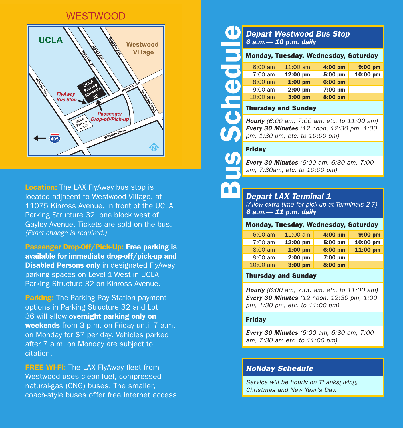### **WESTWOOD**



**Location:** The LAX FlyAway bus stop is located adjacent to Westwood Village, at 11075 Kinross Avenue, in front of the UCLA Parking Structure 32, one block west of Gayley Avenue. Tickets are sold on the bus. *(Exact change is required.)*

Passenger Drop-Off/Pick-Up: Free parking is available for immediate drop-off/pick-up and **Disabled Persons only** in designated FlyAway parking spaces on Level 1-West in UCLA Parking Structure 32 on Kinross Avenue.

**Parking:** The Parking Pay Station payment options in Parking Structure 32 and Lot 36 will allow overnight parking only on weekends from 3 p.m. on Friday until 7 a.m. on Monday for \$7 per day. Vehicles parked after 7 a.m. on Monday are subject to citation.

**FREE Wi-Fi:** The LAX FlyAway fleet from Westwood uses clean-fuel, compressednatural-gas (CNG) buses. The smaller, coach-style buses offer free Internet access.

### *Depart Westwood Bus Stop 6 a.m.— 10 p.m. daily*

|     |                   |                            | <b>Monday, Tuesday, Wednesday, Saturday</b> |           |
|-----|-------------------|----------------------------|---------------------------------------------|-----------|
|     | $6:00 \text{ am}$ | $11:00$ am                 | 4:00 pm                                     | $9:00$ pm |
|     | $7:00$ am         | 12:00 pm                   | 5:00 pm                                     | 10:00 pm  |
| . J | $8:00$ am         | $1:00$ pm                  | 6:00 pm                                     |           |
|     | $9:00$ am         | $2:00$ pm                  | 7:00 pm                                     |           |
|     | $10:00$ am        | $3:00$ pm                  | 8:00 pm                                     |           |
|     |                   | <b>Thursday and Sunday</b> |                                             |           |

#### Thursday and Sunday

*Hourly (6:00 am, 7:00 am, etc. to 11:00 am) Every 30 Minutes (12 noon, 12:30 pm, 1:00 pm, 1:30 pm, etc. to 10:00 pm)*

#### Friday

Bus Schedule

*Every 30 Minutes (6:00 am, 6:30 am, 7:00 am, 7:30am, etc. to 10:00 pm)*

### *Depart LAX Terminal 1*

*(Allow extra time for pick-up at Terminals 2-7) 6 a.m.— 11 p.m. daily*

#### Monday, Tuesday, Wednesday, Saturday

| 6:00 am   | $11:00$ am | $4:00$ pm | $9:00$ pm |
|-----------|------------|-----------|-----------|
| $7:00$ am | 12:00 pm   | 5:00 pm   | 10:00 pm  |
| 8:00 am   | $1:00$ pm  | 6:00 pm   | 11:00 pm  |
| $9:00$ am | $2:00$ pm  | 7:00 pm   |           |
| 10:00 am  | 3:00 pm    | 8:00 pm   |           |

#### Thursday and Sunday

*Hourly (6:00 am, 7:00 am, etc. to 11:00 am) Every 30 Minutes (12 noon, 12:30 pm, 1:00 pm, 1:30 pm, etc. to 11:00 pm)*

#### Friday

*Every 30 Minutes (6:00 am, 6:30 am, 7:00 am, 7:30 am etc. to 11:00 pm)*

### *Holiday Schedule*

*Service will be hourly on Thanksgiving, Christmas and New Year's Day.*